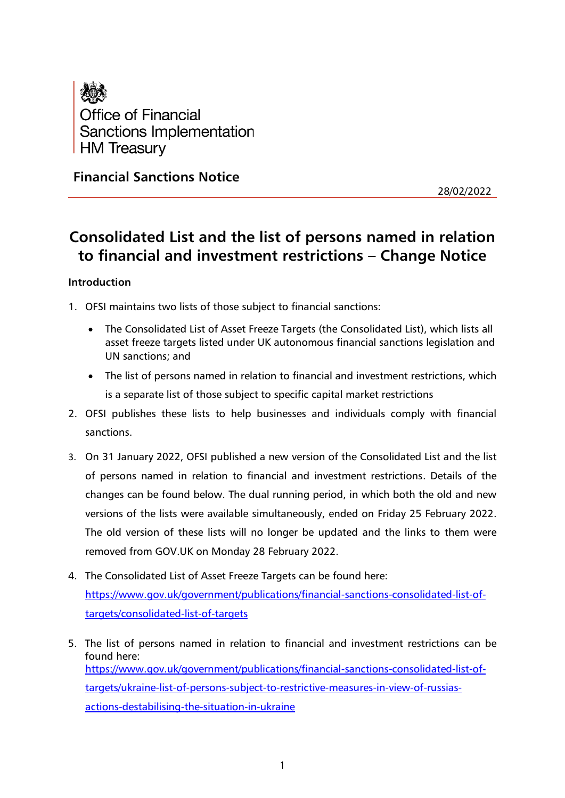

**Financial Sanctions Notice**

28/02/2022

# **Consolidated List and the list of persons named in relation to financial and investment restrictions – Change Notice**

## **Introduction**

1. OFSI maintains two lists of those subject to financial sanctions:

- The Consolidated List of Asset Freeze Targets (the Consolidated List), which lists all asset freeze targets listed under UK autonomous financial sanctions legislation and UN sanctions; and
- The list of persons named in relation to financial and investment restrictions, which is a separate list of those subject to specific capital market restrictions
- 2. OFSI publishes these lists to help businesses and individuals comply with financial sanctions.
- 3. On 31 January 2022, OFSI published a new version of the Consolidated List and the list of persons named in relation to financial and investment restrictions. Details of the changes can be found below. The dual running period, in which both the old and new versions of the lists were available simultaneously, ended on Friday 25 February 2022. The old version of these lists will no longer be updated and the links to them were removed from GOV.UK on Monday 28 February 2022.
- 4. The Consolidated List of Asset Freeze Targets can be found here: [https://www.gov.uk/government/publications/financial-sanctions-consolidated-list-of](https://www.gov.uk/government/publications/financial-sanctions-consolidated-list-of-targets/consolidated-list-of-targets)[targets/consolidated-list-of-targets](https://www.gov.uk/government/publications/financial-sanctions-consolidated-list-of-targets/consolidated-list-of-targets)
- 5. The list of persons named in relation to financial and investment restrictions can be found here: [https://www.gov.uk/government/publications/financial-sanctions-consolidated-list-of](https://www.gov.uk/government/publications/financial-sanctions-consolidated-list-of-targets/ukraine-list-of-persons-subject-to-restrictive-measures-in-view-of-russias-actions-destabilising-the-situation-in-ukraine)[targets/ukraine-list-of-persons-subject-to-restrictive-measures-in-view-of-russias](https://www.gov.uk/government/publications/financial-sanctions-consolidated-list-of-targets/ukraine-list-of-persons-subject-to-restrictive-measures-in-view-of-russias-actions-destabilising-the-situation-in-ukraine)[actions-destabilising-the-situation-in-ukraine](https://www.gov.uk/government/publications/financial-sanctions-consolidated-list-of-targets/ukraine-list-of-persons-subject-to-restrictive-measures-in-view-of-russias-actions-destabilising-the-situation-in-ukraine)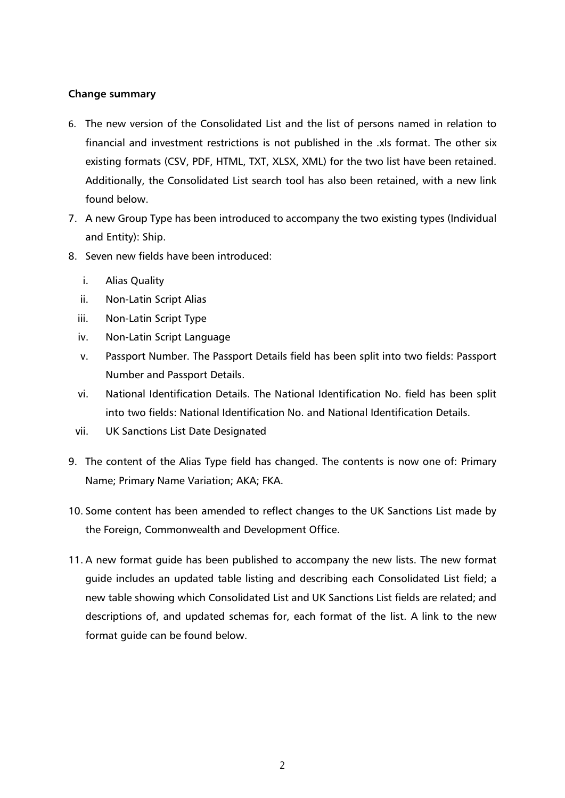#### **Change summary**

- 6. The new version of the Consolidated List and the list of persons named in relation to financial and investment restrictions is not published in the .xls format. The other six existing formats (CSV, PDF, HTML, TXT, XLSX, XML) for the two list have been retained. Additionally, the Consolidated List search tool has also been retained, with a new link found below.
- 7. A new Group Type has been introduced to accompany the two existing types (Individual and Entity): Ship.
- 8. Seven new fields have been introduced:
	- i. Alias Quality
	- ii. Non-Latin Script Alias
	- iii. Non-Latin Script Type
	- iv. Non-Latin Script Language
	- v. Passport Number. The Passport Details field has been split into two fields: Passport Number and Passport Details.
	- vi. National Identification Details. The National Identification No. field has been split into two fields: National Identification No. and National Identification Details.
	- vii. UK Sanctions List Date Designated
- 9. The content of the Alias Type field has changed. The contents is now one of: Primary Name; Primary Name Variation; AKA; FKA.
- 10. Some content has been amended to reflect changes to the UK Sanctions List made by the Foreign, Commonwealth and Development Office.
- 11. A new format guide has been published to accompany the new lists. The new format guide includes an updated table listing and describing each Consolidated List field; a new table showing which Consolidated List and UK Sanctions List fields are related; and descriptions of, and updated schemas for, each format of the list. A link to the new format guide can be found below.